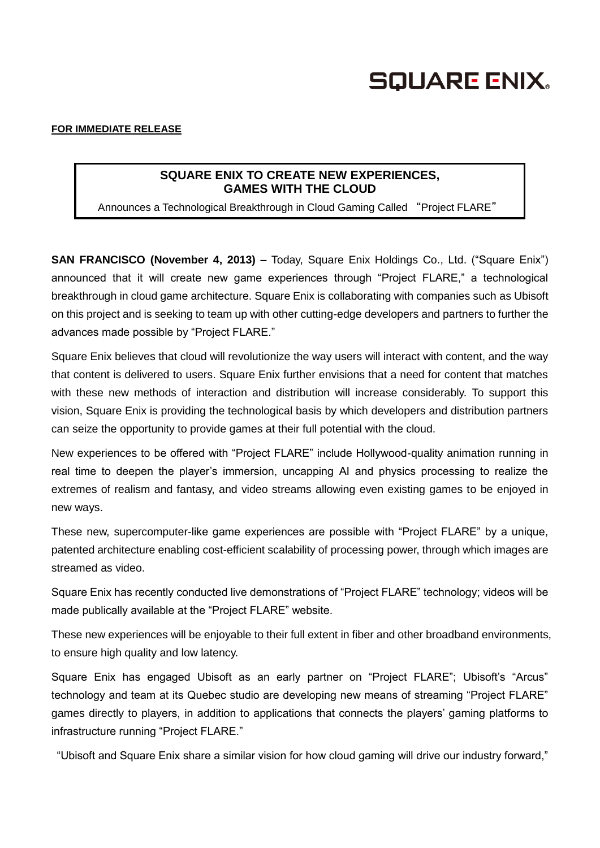

## **FOR IMMEDIATE RELEASE**

## **SQUARE ENIX TO CREATE NEW EXPERIENCES, GAMES WITH THE CLOUD**

Announces a Technological Breakthrough in Cloud Gaming Called "Project FLARE"

**SAN FRANCISCO (November 4, 2013) –** Today, Square Enix Holdings Co., Ltd. ("Square Enix") announced that it will create new game experiences through "Project FLARE," a technological breakthrough in cloud game architecture. Square Enix is collaborating with companies such as Ubisoft on this project and is seeking to team up with other cutting-edge developers and partners to further the advances made possible by "Project FLARE."

Square Enix believes that cloud will revolutionize the way users will interact with content, and the way that content is delivered to users. Square Enix further envisions that a need for content that matches with these new methods of interaction and distribution will increase considerably. To support this vision, Square Enix is providing the technological basis by which developers and distribution partners can seize the opportunity to provide games at their full potential with the cloud.

New experiences to be offered with "Project FLARE" include Hollywood-quality animation running in real time to deepen the player's immersion, uncapping AI and physics processing to realize the extremes of realism and fantasy, and video streams allowing even existing games to be enjoyed in new ways.

These new, supercomputer-like game experiences are possible with "Project FLARE" by a unique, patented architecture enabling cost-efficient scalability of processing power, through which images are streamed as video.

Square Enix has recently conducted live demonstrations of "Project FLARE" technology; videos will be made publically available at the "Project FLARE" website.

These new experiences will be enjoyable to their full extent in fiber and other broadband environments, to ensure high quality and low latency.

Square Enix has engaged Ubisoft as an early partner on "Project FLARE"; Ubisoft's "Arcus" technology and team at its Quebec studio are developing new means of streaming "Project FLARE" games directly to players, in addition to applications that connects the players' gaming platforms to infrastructure running "Project FLARE."

"Ubisoft and Square Enix share a similar vision for how cloud gaming will drive our industry forward,"